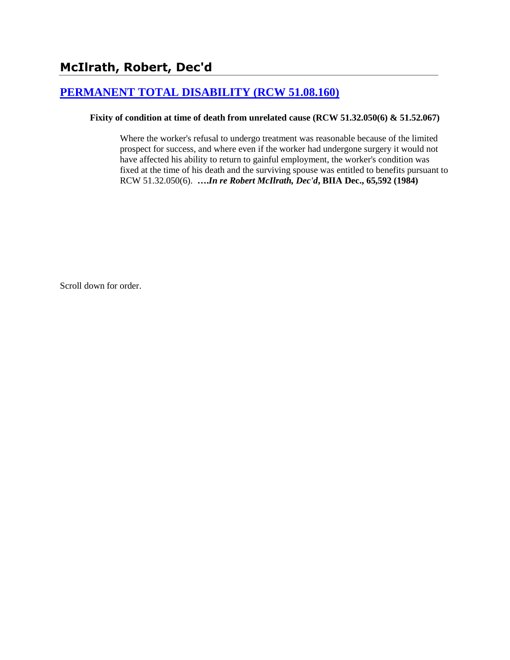# **[PERMANENT TOTAL DISABILITY \(RCW 51.08.160\)](http://www.biia.wa.gov/SDSubjectIndex.html#PERMANENT_TOTAL_DISABILITY)**

### **Fixity of condition at time of death from unrelated cause (RCW 51.32.050(6) & 51.52.067)**

Where the worker's refusal to undergo treatment was reasonable because of the limited prospect for success, and where even if the worker had undergone surgery it would not have affected his ability to return to gainful employment, the worker's condition was fixed at the time of his death and the surviving spouse was entitled to benefits pursuant to RCW 51.32.050(6). **….***In re Robert McIlrath, Dec'd***, BIIA Dec., 65,592 (1984)**

Scroll down for order.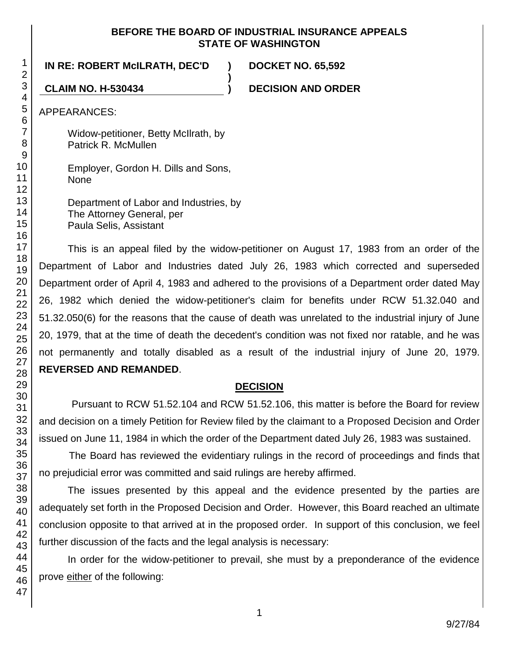### **BEFORE THE BOARD OF INDUSTRIAL INSURANCE APPEALS STATE OF WASHINGTON**

**)**

**IN RE: ROBERT McILRATH, DEC'D ) DOCKET NO. 65,592**

**CLAIM NO. H-530434 ) DECISION AND ORDER**

APPEARANCES:

Widow-petitioner, Betty McIlrath, by Patrick R. McMullen

Employer, Gordon H. Dills and Sons, None

Department of Labor and Industries, by The Attorney General, per Paula Selis, Assistant

This is an appeal filed by the widow-petitioner on August 17, 1983 from an order of the Department of Labor and Industries dated July 26, 1983 which corrected and superseded Department order of April 4, 1983 and adhered to the provisions of a Department order dated May 26, 1982 which denied the widow-petitioner's claim for benefits under RCW 51.32.040 and 51.32.050(6) for the reasons that the cause of death was unrelated to the industrial injury of June 20, 1979, that at the time of death the decedent's condition was not fixed nor ratable, and he was not permanently and totally disabled as a result of the industrial injury of June 20, 1979. **REVERSED AND REMANDED**.

## **DECISION**

Pursuant to RCW 51.52.104 and RCW 51.52.106, this matter is before the Board for review and decision on a timely Petition for Review filed by the claimant to a Proposed Decision and Order issued on June 11, 1984 in which the order of the Department dated July 26, 1983 was sustained.

The Board has reviewed the evidentiary rulings in the record of proceedings and finds that no prejudicial error was committed and said rulings are hereby affirmed.

The issues presented by this appeal and the evidence presented by the parties are adequately set forth in the Proposed Decision and Order. However, this Board reached an ultimate conclusion opposite to that arrived at in the proposed order. In support of this conclusion, we feel further discussion of the facts and the legal analysis is necessary:

In order for the widow-petitioner to prevail, she must by a preponderance of the evidence prove either of the following: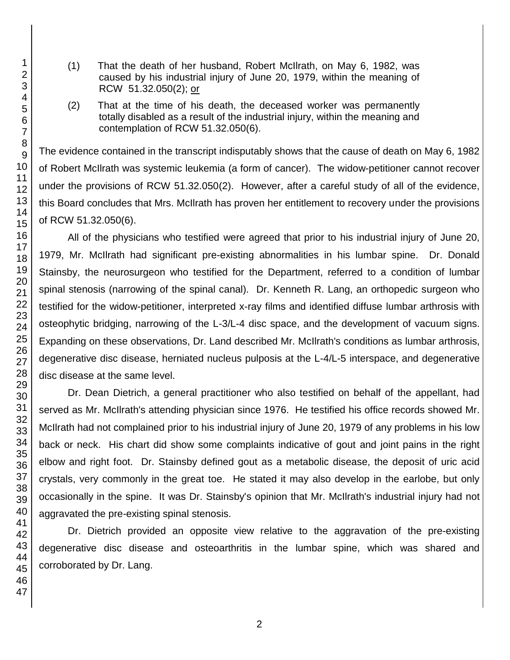- (1) That the death of her husband, Robert McIlrath, on May 6, 1982, was caused by his industrial injury of June 20, 1979, within the meaning of RCW 51.32.050(2); or
- (2) That at the time of his death, the deceased worker was permanently totally disabled as a result of the industrial injury, within the meaning and contemplation of RCW 51.32.050(6).

The evidence contained in the transcript indisputably shows that the cause of death on May 6, 1982 of Robert McIlrath was systemic leukemia (a form of cancer). The widow-petitioner cannot recover under the provisions of RCW 51.32.050(2). However, after a careful study of all of the evidence, this Board concludes that Mrs. McIlrath has proven her entitlement to recovery under the provisions of RCW 51.32.050(6).

All of the physicians who testified were agreed that prior to his industrial injury of June 20, 1979, Mr. McIlrath had significant pre-existing abnormalities in his lumbar spine. Dr. Donald Stainsby, the neurosurgeon who testified for the Department, referred to a condition of lumbar spinal stenosis (narrowing of the spinal canal). Dr. Kenneth R. Lang, an orthopedic surgeon who testified for the widow-petitioner, interpreted x-ray films and identified diffuse lumbar arthrosis with osteophytic bridging, narrowing of the L-3/L-4 disc space, and the development of vacuum signs. Expanding on these observations, Dr. Land described Mr. McIlrath's conditions as lumbar arthrosis, degenerative disc disease, herniated nucleus pulposis at the L-4/L-5 interspace, and degenerative disc disease at the same level.

Dr. Dean Dietrich, a general practitioner who also testified on behalf of the appellant, had served as Mr. McIlrath's attending physician since 1976. He testified his office records showed Mr. McIlrath had not complained prior to his industrial injury of June 20, 1979 of any problems in his low back or neck. His chart did show some complaints indicative of gout and joint pains in the right elbow and right foot. Dr. Stainsby defined gout as a metabolic disease, the deposit of uric acid crystals, very commonly in the great toe. He stated it may also develop in the earlobe, but only occasionally in the spine. It was Dr. Stainsby's opinion that Mr. McIlrath's industrial injury had not aggravated the pre-existing spinal stenosis.

Dr. Dietrich provided an opposite view relative to the aggravation of the pre-existing degenerative disc disease and osteoarthritis in the lumbar spine, which was shared and corroborated by Dr. Lang.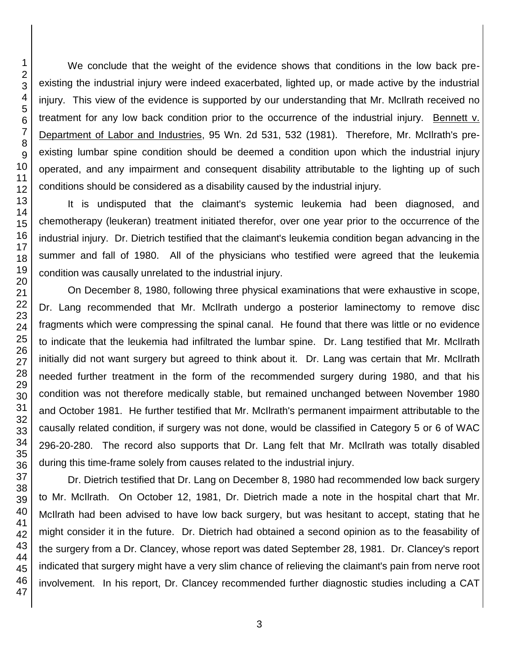We conclude that the weight of the evidence shows that conditions in the low back preexisting the industrial injury were indeed exacerbated, lighted up, or made active by the industrial injury. This view of the evidence is supported by our understanding that Mr. McIlrath received no treatment for any low back condition prior to the occurrence of the industrial injury. Bennett v. Department of Labor and Industries, 95 Wn. 2d 531, 532 (1981). Therefore, Mr. McIlrath's preexisting lumbar spine condition should be deemed a condition upon which the industrial injury operated, and any impairment and consequent disability attributable to the lighting up of such conditions should be considered as a disability caused by the industrial injury.

It is undisputed that the claimant's systemic leukemia had been diagnosed, and chemotherapy (leukeran) treatment initiated therefor, over one year prior to the occurrence of the industrial injury. Dr. Dietrich testified that the claimant's leukemia condition began advancing in the summer and fall of 1980. All of the physicians who testified were agreed that the leukemia condition was causally unrelated to the industrial injury.

On December 8, 1980, following three physical examinations that were exhaustive in scope, Dr. Lang recommended that Mr. McIlrath undergo a posterior laminectomy to remove disc fragments which were compressing the spinal canal. He found that there was little or no evidence to indicate that the leukemia had infiltrated the lumbar spine. Dr. Lang testified that Mr. McIlrath initially did not want surgery but agreed to think about it. Dr. Lang was certain that Mr. McIlrath needed further treatment in the form of the recommended surgery during 1980, and that his condition was not therefore medically stable, but remained unchanged between November 1980 and October 1981. He further testified that Mr. McIlrath's permanent impairment attributable to the causally related condition, if surgery was not done, would be classified in Category 5 or 6 of WAC 296-20-280. The record also supports that Dr. Lang felt that Mr. McIlrath was totally disabled during this time-frame solely from causes related to the industrial injury.

Dr. Dietrich testified that Dr. Lang on December 8, 1980 had recommended low back surgery to Mr. McIlrath. On October 12, 1981, Dr. Dietrich made a note in the hospital chart that Mr. McIlrath had been advised to have low back surgery, but was hesitant to accept, stating that he might consider it in the future. Dr. Dietrich had obtained a second opinion as to the feasability of the surgery from a Dr. Clancey, whose report was dated September 28, 1981. Dr. Clancey's report indicated that surgery might have a very slim chance of relieving the claimant's pain from nerve root involvement. In his report, Dr. Clancey recommended further diagnostic studies including a CAT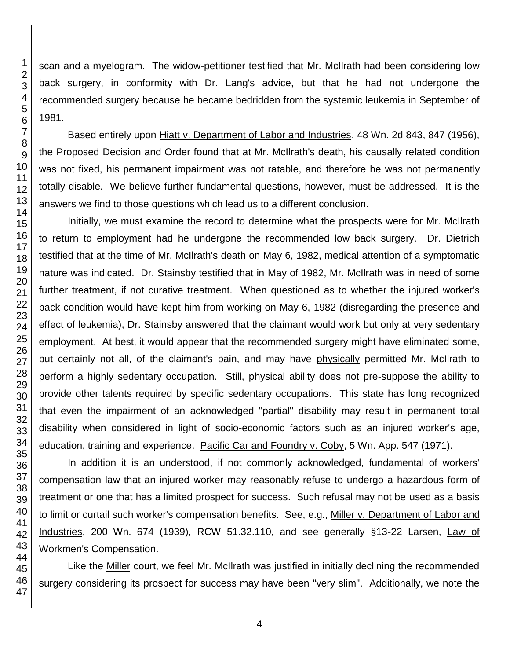scan and a myelogram. The widow-petitioner testified that Mr. McIlrath had been considering low back surgery, in conformity with Dr. Lang's advice, but that he had not undergone the recommended surgery because he became bedridden from the systemic leukemia in September of 1981.

Based entirely upon Hiatt v. Department of Labor and Industries, 48 Wn. 2d 843, 847 (1956), the Proposed Decision and Order found that at Mr. McIlrath's death, his causally related condition was not fixed, his permanent impairment was not ratable, and therefore he was not permanently totally disable. We believe further fundamental questions, however, must be addressed. It is the answers we find to those questions which lead us to a different conclusion.

Initially, we must examine the record to determine what the prospects were for Mr. McIlrath to return to employment had he undergone the recommended low back surgery. Dr. Dietrich testified that at the time of Mr. McIlrath's death on May 6, 1982, medical attention of a symptomatic nature was indicated. Dr. Stainsby testified that in May of 1982, Mr. McIlrath was in need of some further treatment, if not curative treatment. When questioned as to whether the injured worker's back condition would have kept him from working on May 6, 1982 (disregarding the presence and effect of leukemia), Dr. Stainsby answered that the claimant would work but only at very sedentary employment. At best, it would appear that the recommended surgery might have eliminated some, but certainly not all, of the claimant's pain, and may have physically permitted Mr. McIlrath to perform a highly sedentary occupation. Still, physical ability does not pre-suppose the ability to provide other talents required by specific sedentary occupations. This state has long recognized that even the impairment of an acknowledged "partial" disability may result in permanent total disability when considered in light of socio-economic factors such as an injured worker's age, education, training and experience. Pacific Car and Foundry v. Coby, 5 Wn. App. 547 (1971).

In addition it is an understood, if not commonly acknowledged, fundamental of workers' compensation law that an injured worker may reasonably refuse to undergo a hazardous form of treatment or one that has a limited prospect for success. Such refusal may not be used as a basis to limit or curtail such worker's compensation benefits. See, e.g., Miller v. Department of Labor and Industries, 200 Wn. 674 (1939), RCW 51.32.110, and see generally §13-22 Larsen, Law of Workmen's Compensation.

Like the Miller court, we feel Mr. McIlrath was justified in initially declining the recommended surgery considering its prospect for success may have been "very slim". Additionally, we note the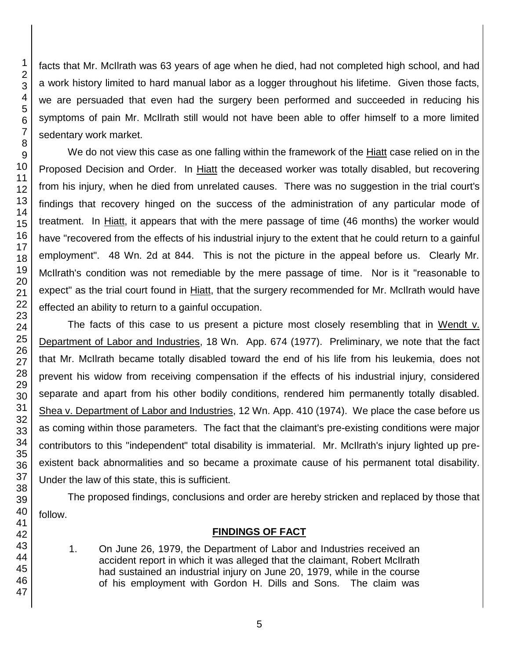46 47

facts that Mr. McIlrath was 63 years of age when he died, had not completed high school, and had a work history limited to hard manual labor as a logger throughout his lifetime. Given those facts, we are persuaded that even had the surgery been performed and succeeded in reducing his symptoms of pain Mr. McIlrath still would not have been able to offer himself to a more limited sedentary work market.

We do not view this case as one falling within the framework of the Hiatt case relied on in the Proposed Decision and Order. In Hiatt the deceased worker was totally disabled, but recovering from his injury, when he died from unrelated causes. There was no suggestion in the trial court's findings that recovery hinged on the success of the administration of any particular mode of treatment. In Hiatt, it appears that with the mere passage of time (46 months) the worker would have "recovered from the effects of his industrial injury to the extent that he could return to a gainful employment". 48 Wn. 2d at 844. This is not the picture in the appeal before us. Clearly Mr. McIlrath's condition was not remediable by the mere passage of time. Nor is it "reasonable to expect" as the trial court found in Hiatt, that the surgery recommended for Mr. McIlrath would have effected an ability to return to a gainful occupation.

The facts of this case to us present a picture most closely resembling that in Wendt v. Department of Labor and Industries, 18 Wn. App. 674 (1977). Preliminary, we note that the fact that Mr. McIlrath became totally disabled toward the end of his life from his leukemia, does not prevent his widow from receiving compensation if the effects of his industrial injury, considered separate and apart from his other bodily conditions, rendered him permanently totally disabled. Shea v. Department of Labor and Industries, 12 Wn. App. 410 (1974). We place the case before us as coming within those parameters. The fact that the claimant's pre-existing conditions were major contributors to this "independent" total disability is immaterial. Mr. McIlrath's injury lighted up preexistent back abnormalities and so became a proximate cause of his permanent total disability. Under the law of this state, this is sufficient.

The proposed findings, conclusions and order are hereby stricken and replaced by those that follow.

## **FINDINGS OF FACT**

1. On June 26, 1979, the Department of Labor and Industries received an accident report in which it was alleged that the claimant, Robert McIlrath had sustained an industrial injury on June 20, 1979, while in the course of his employment with Gordon H. Dills and Sons. The claim was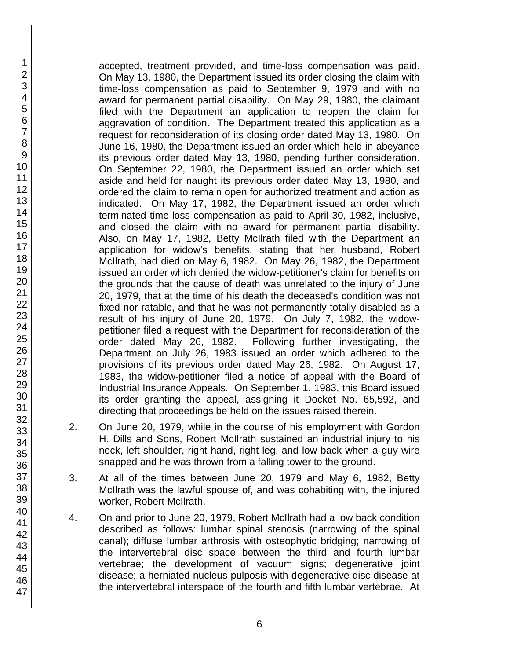accepted, treatment provided, and time-loss compensation was paid. On May 13, 1980, the Department issued its order closing the claim with time-loss compensation as paid to September 9, 1979 and with no award for permanent partial disability. On May 29, 1980, the claimant filed with the Department an application to reopen the claim for aggravation of condition. The Department treated this application as a request for reconsideration of its closing order dated May 13, 1980. On June 16, 1980, the Department issued an order which held in abeyance its previous order dated May 13, 1980, pending further consideration. On September 22, 1980, the Department issued an order which set aside and held for naught its previous order dated May 13, 1980, and ordered the claim to remain open for authorized treatment and action as indicated. On May 17, 1982, the Department issued an order which terminated time-loss compensation as paid to April 30, 1982, inclusive, and closed the claim with no award for permanent partial disability. Also, on May 17, 1982, Betty McIlrath filed with the Department an application for widow's benefits, stating that her husband, Robert McIlrath, had died on May 6, 1982. On May 26, 1982, the Department issued an order which denied the widow-petitioner's claim for benefits on the grounds that the cause of death was unrelated to the injury of June 20, 1979, that at the time of his death the deceased's condition was not fixed nor ratable, and that he was not permanently totally disabled as a result of his injury of June 20, 1979. On July 7, 1982, the widowpetitioner filed a request with the Department for reconsideration of the order dated May 26, 1982. Following further investigating, the Department on July 26, 1983 issued an order which adhered to the provisions of its previous order dated May 26, 1982. On August 17, 1983, the widow-petitioner filed a notice of appeal with the Board of Industrial Insurance Appeals. On September 1, 1983, this Board issued its order granting the appeal, assigning it Docket No. 65,592, and directing that proceedings be held on the issues raised therein.

- 2. On June 20, 1979, while in the course of his employment with Gordon H. Dills and Sons, Robert McIlrath sustained an industrial injury to his neck, left shoulder, right hand, right leg, and low back when a guy wire snapped and he was thrown from a falling tower to the ground.
- 3. At all of the times between June 20, 1979 and May 6, 1982, Betty McIlrath was the lawful spouse of, and was cohabiting with, the injured worker, Robert McIlrath.
- 4. On and prior to June 20, 1979, Robert McIlrath had a low back condition described as follows: lumbar spinal stenosis (narrowing of the spinal canal); diffuse lumbar arthrosis with osteophytic bridging; narrowing of the intervertebral disc space between the third and fourth lumbar vertebrae; the development of vacuum signs; degenerative joint disease; a herniated nucleus pulposis with degenerative disc disease at the intervertebral interspace of the fourth and fifth lumbar vertebrae. At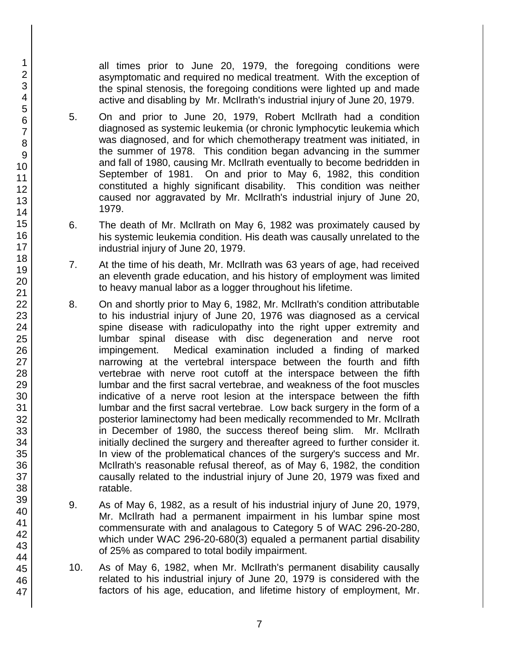all times prior to June 20, 1979, the foregoing conditions were asymptomatic and required no medical treatment. With the exception of the spinal stenosis, the foregoing conditions were lighted up and made active and disabling by Mr. McIlrath's industrial injury of June 20, 1979.

- 5. On and prior to June 20, 1979, Robert McIlrath had a condition diagnosed as systemic leukemia (or chronic lymphocytic leukemia which was diagnosed, and for which chemotherapy treatment was initiated, in the summer of 1978. This condition began advancing in the summer and fall of 1980, causing Mr. McIlrath eventually to become bedridden in September of 1981. On and prior to May 6, 1982, this condition constituted a highly significant disability. This condition was neither caused nor aggravated by Mr. McIlrath's industrial injury of June 20, 1979.
- 6. The death of Mr. McIlrath on May 6, 1982 was proximately caused by his systemic leukemia condition. His death was causally unrelated to the industrial injury of June 20, 1979.
- 7. At the time of his death, Mr. McIlrath was 63 years of age, had received an eleventh grade education, and his history of employment was limited to heavy manual labor as a logger throughout his lifetime.
- 8. On and shortly prior to May 6, 1982, Mr. McIlrath's condition attributable to his industrial injury of June 20, 1976 was diagnosed as a cervical spine disease with radiculopathy into the right upper extremity and lumbar spinal disease with disc degeneration and nerve root impingement. Medical examination included a finding of marked narrowing at the vertebral interspace between the fourth and fifth vertebrae with nerve root cutoff at the interspace between the fifth lumbar and the first sacral vertebrae, and weakness of the foot muscles indicative of a nerve root lesion at the interspace between the fifth lumbar and the first sacral vertebrae. Low back surgery in the form of a posterior laminectomy had been medically recommended to Mr. McIlrath in December of 1980, the success thereof being slim. Mr. McIlrath initially declined the surgery and thereafter agreed to further consider it. In view of the problematical chances of the surgery's success and Mr. McIlrath's reasonable refusal thereof, as of May 6, 1982, the condition causally related to the industrial injury of June 20, 1979 was fixed and ratable.
- 9. As of May 6, 1982, as a result of his industrial injury of June 20, 1979, Mr. McIlrath had a permanent impairment in his lumbar spine most commensurate with and analagous to Category 5 of WAC 296-20-280, which under WAC 296-20-680(3) equaled a permanent partial disability of 25% as compared to total bodily impairment.
- 10. As of May 6, 1982, when Mr. McIlrath's permanent disability causally related to his industrial injury of June 20, 1979 is considered with the factors of his age, education, and lifetime history of employment, Mr.